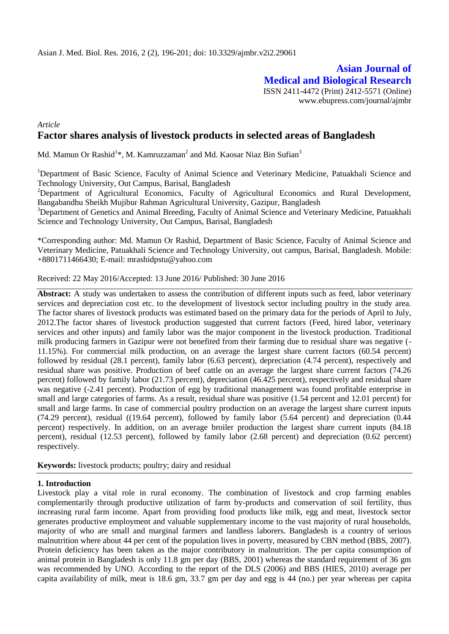**Asian Journal of Medical and Biological Research** ISSN 2411-4472 (Print) 2412-5571 (Online) www.ebupress.com/journal/ajmbr

## *Article* **Factor shares analysis of livestock products in selected areas of Bangladesh**

Md. Mamun Or Rashid $^{1*}$ , M. Kamruzzaman $^{2}$  and Md. Kaosar Niaz Bin Sufian $^{3}$ 

<sup>1</sup>Department of Basic Science, Faculty of Animal Science and Veterinary Medicine, Patuakhali Science and Technology University, Out Campus, Barisal, Bangladesh

<sup>2</sup>Department of Agricultural Economics, Faculty of Agricultural Economics and Rural Development, Bangabandhu Sheikh Mujibur Rahman Agricultural University, Gazipur, Bangladesh

<sup>3</sup>Department of Genetics and Animal Breeding, Faculty of Animal Science and Veterinary Medicine, Patuakhali Science and Technology University, Out Campus, Barisal, Bangladesh

\*Corresponding author: Md. Mamun Or Rashid, Department of Basic Science, Faculty of Animal Science and Veterinary Medicine, Patuakhali Science and Technology University, out campus, Barisal, Bangladesh. Mobile: +8801711466430; E-mail: [mrashidpstu@yahoo.com](mailto:mrashidpstu@yahoo.com)

Received: 22 May 2016/Accepted: 13 June 2016/ Published: 30 June 2016

**Abstract:** A study was undertaken to assess the contribution of different inputs such as feed, labor veterinary services and depreciation cost etc. to the development of livestock sector including poultry in the study area. The factor shares of livestock products was estimated based on the primary data for the periods of April to July, 2012.The factor shares of livestock production suggested that current factors (Feed, hired labor, veterinary services and other inputs) and family labor was the major component in the livestock production. Traditional milk producing farmers in Gazipur were not benefited from their farming due to residual share was negative (- 11.15%). For commercial milk production, on an average the largest share current factors (60.54 percent) followed by residual (28.1 percent), family labor (6.63 percent), depreciation (4.74 percent), respectively and residual share was positive. Production of beef cattle on an average the largest share current factors (74.26 percent) followed by family labor (21.73 percent), depreciation (46.425 percent), respectively and residual share was negative (-2.41 percent). Production of egg by traditional management was found profitable enterprise in small and large categories of farms. As a result, residual share was positive (1.54 percent and 12.01 percent) for small and large farms. In case of commercial poultry production on an average the largest share current inputs (74.29 percent), residual ((19.64 percent), followed by family labor (5.64 percent) and depreciation (0.44 percent) respectively. In addition, on an average broiler production the largest share current inputs (84.18 percent), residual (12.53 percent), followed by family labor (2.68 percent) and depreciation (0.62 percent) respectively.

**Keywords:** livestock products; poultry; dairy and residual

## **1. Introduction**

Livestock play a vital role in rural economy. The combination of livestock and crop farming enables complementarily through productive utilization of farm by-products and conservation of soil fertility, thus increasing rural farm income. Apart from providing food products like milk, egg and meat, livestock sector generates productive employment and valuable supplementary income to the vast majority of rural households, majority of who are small and marginal farmers and landless laborers. Bangladesh is a country of serious malnutrition where about 44 per cent of the population lives in poverty, measured by CBN method (BBS, 2007). Protein deficiency has been taken as the major contributory in malnutrition. The per capita consumption of animal protein in Bangladesh is only 11.8 gm per day (BBS, 2001) whereas the standard requirement of 36 gm was recommended by UNO. According to the report of the DLS (2006) and BBS (HIES, 2010) average per capita availability of milk, meat is 18.6 gm, 33.7 gm per day and egg is 44 (no.) per year whereas per capita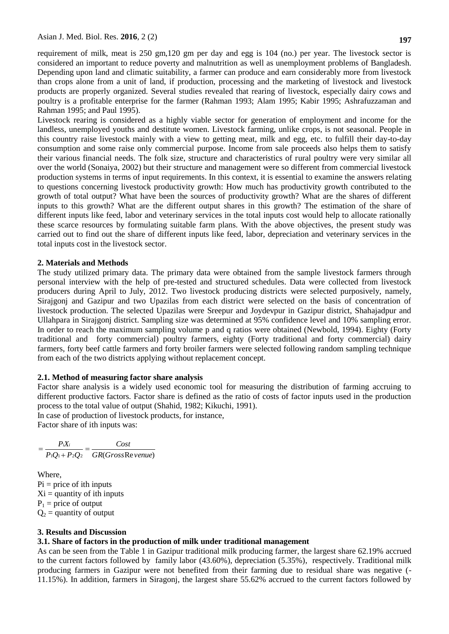requirement of milk, meat is 250 gm,120 gm per day and egg is 104 (no.) per year. The livestock sector is considered an important to reduce poverty and malnutrition as well as unemployment problems of Bangladesh. Depending upon land and climatic suitability, a farmer can produce and earn considerably more from livestock than crops alone from a unit of land, if production, processing and the marketing of livestock and livestock products are properly organized. Several studies revealed that rearing of livestock, especially dairy cows and poultry is a profitable enterprise for the farmer (Rahman 1993; Alam 1995; Kabir 1995; Ashrafuzzaman and Rahman 1995; and Paul 1995).

Livestock rearing is considered as a highly viable sector for generation of employment and income for the landless, unemployed youths and destitute women. Livestock farming, unlike crops, is not seasonal. People in this country raise livestock mainly with a view to getting meat, milk and egg, etc. to fulfill their day-to-day consumption and some raise only commercial purpose. Income from sale proceeds also helps them to satisfy their various financial needs. The folk size, structure and characteristics of rural poultry were very similar all over the world (Sonaiya, 2002) but their structure and management were so different from commercial livestock production systems in terms of input requirements. In this context, it is essential to examine the answers relating to questions concerning livestock productivity growth: How much has productivity growth contributed to the growth of total output? What have been the sources of productivity growth? What are the shares of different inputs to this growth? What are the different output shares in this growth? The estimation of the share of different inputs like feed, labor and veterinary services in the total inputs cost would help to allocate rationally these scarce resources by formulating suitable farm plans. With the above objectives, the present study was carried out to find out the share of different inputs like feed, labor, depreciation and veterinary services in the total inputs cost in the livestock sector.

#### **2. Materials and Methods**

The study utilized primary data. The primary data were obtained from the sample livestock farmers through personal interview with the help of pre-tested and structured schedules. Data were collected from livestock producers during April to July, 2012. Two livestock producing districts were selected purposively, namely, Sirajgonj and Gazipur and two Upazilas from each district were selected on the basis of concentration of livestock production. The selected Upazilas were Sreepur and Joydevpur in Gazipur district, Shahajadpur and Ullahpara in Sirajgonj district. Sampling size was determined at 95% confidence level and 10% sampling error. In order to reach the maximum sampling volume p and q ratios were obtained (Newbold, 1994). Eighty (Forty traditional and forty commercial) poultry farmers, eighty (Forty traditional and forty commercial) dairy farmers, forty beef cattle farmers and forty broiler farmers were selected following random sampling technique from each of the two districts applying without replacement concept.

#### **2.1. Method of measuring factor share analysis**

Factor share analysis is a widely used economic tool for measuring the distribution of farming accruing to different productive factors. Factor share is defined as the ratio of costs of factor inputs used in the production process to the total value of output (Shahid, 1982; Kikuchi, 1991).

In case of production of livestock products, for instance, Factor share of ith inputs was:

 $G_1 Q_1 + P_2 Q_2$  *GR(GrossRevenue) Cost*  $P_1Q_1 + P_2Q_2$  $=$   $\frac{P_i X_i}{P_1 Q_1 + P_2 Q_2} =$ 

Where,  $Pi = price of ith inputs$  $Xi =$  quantity of ith inputs  $P_1$  = price of output  $Q_2$  = quantity of output

### **3. Results and Discussion**

## **3.1. Share of factors in the production of milk under traditional management**

As can be seen from the Table 1 in Gazipur traditional milk producing farmer, the largest share 62.19% accrued to the current factors followed by family labor (43.60%), depreciation (5.35%), respectively. Traditional milk producing farmers in Gazipur were not benefited from their farming due to residual share was negative (- 11.15%). In addition, farmers in Siragonj, the largest share 55.62% accrued to the current factors followed by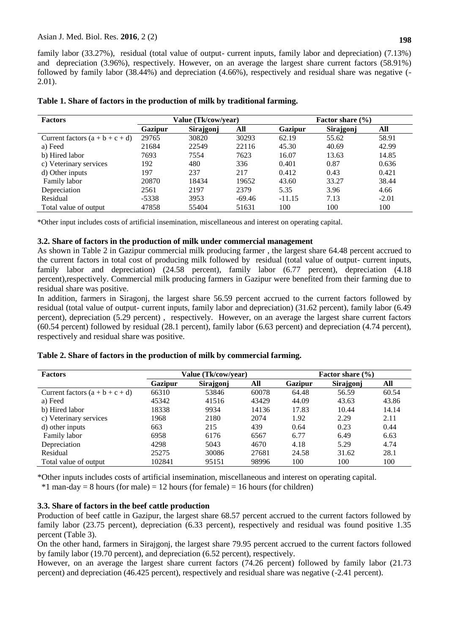# Asian J. Med. Biol. Res. **2016**, 2 (2) **198**

family labor (33.27%), residual (total value of output- current inputs, family labor and depreciation) (7.13%) and depreciation (3.96%), respectively. However, on an average the largest share current factors (58.91%) followed by family labor (38.44%) and depreciation (4.66%), respectively and residual share was negative (- 2.01).

| <b>Factors</b>                    | Value (Tk/cow/year) |           |          |                | Factor share $(\% )$ |         |  |
|-----------------------------------|---------------------|-----------|----------|----------------|----------------------|---------|--|
|                                   | Gazipur             | Sirajgonj | All      | <b>Gazipur</b> | Sirajgonj            | All     |  |
| Current factors $(a + b + c + d)$ | 29765               | 30820     | 30293    | 62.19          | 55.62                | 58.91   |  |
| a) Feed                           | 21684               | 22549     | 22116    | 45.30          | 40.69                | 42.99   |  |
| b) Hired labor                    | 7693                | 7554      | 7623     | 16.07          | 13.63                | 14.85   |  |
| c) Veterinary services            | 192                 | 480       | 336      | 0.401          | 0.87                 | 0.636   |  |
| d) Other inputs                   | 197                 | 237       | 217      | 0.412          | 0.43                 | 0.421   |  |
| Family labor                      | 20870               | 18434     | 19652    | 43.60          | 33.27                | 38.44   |  |
| Depreciation                      | 2561                | 2197      | 2379     | 5.35           | 3.96                 | 4.66    |  |
| Residual                          | $-5338$             | 3953      | $-69.46$ | $-11.15$       | 7.13                 | $-2.01$ |  |
| Total value of output             | 47858               | 55404     | 51631    | 100            | 100                  | 100     |  |

|  |  |  |  | Table 1. Share of factors in the production of milk by traditional farming. |  |
|--|--|--|--|-----------------------------------------------------------------------------|--|
|  |  |  |  |                                                                             |  |

\*Other input includes costs of artificial insemination, miscellaneous and interest on operating capital.

### **3.2. Share of factors in the production of milk under commercial management**

As shown in Table 2 in Gazipur commercial milk producing farmer , the largest share 64.48 percent accrued to the current factors in total cost of producing milk followed by residual (total value of output- current inputs, family labor and depreciation) (24.58 percent), family labor (6.77 percent), depreciation (4.18 percent),respectively. Commercial milk producing farmers in Gazipur were benefited from their farming due to residual share was positive.

In addition, farmers in Siragonj, the largest share 56.59 percent accrued to the current factors followed by residual (total value of output- current inputs, family labor and depreciation) (31.62 percent), family labor (6.49 percent), depreciation (5.29 percent) , respectively. However, on an average the largest share current factors (60.54 percent) followed by residual (28.1 percent), family labor (6.63 percent) and depreciation (4.74 percent), respectively and residual share was positive.

| Table 2. Share of factors in the production of milk by commercial farming. |  |  |
|----------------------------------------------------------------------------|--|--|
|----------------------------------------------------------------------------|--|--|

| <b>Factors</b>                    | <b>Value (Tk/cow/vear)</b> |           |       | Factor share $(\% )$ |           |       |  |
|-----------------------------------|----------------------------|-----------|-------|----------------------|-----------|-------|--|
|                                   | Gazipur                    | Sirajgonj | All   | <b>Gazipur</b>       | Sirajgonj | All   |  |
| Current factors $(a + b + c + d)$ | 66310                      | 53846     | 60078 | 64.48                | 56.59     | 60.54 |  |
| a) Feed                           | 45342                      | 41516     | 43429 | 44.09                | 43.63     | 43.86 |  |
| b) Hired labor                    | 18338                      | 9934      | 14136 | 17.83                | 10.44     | 14.14 |  |
| c) Veterinary services            | 1968                       | 2180      | 2074  | 1.92                 | 2.29      | 2.11  |  |
| d) other inputs                   | 663                        | 215       | 439   | 0.64                 | 0.23      | 0.44  |  |
| Family labor                      | 6958                       | 6176      | 6567  | 6.77                 | 6.49      | 6.63  |  |
| Depreciation                      | 4298                       | 5043      | 4670  | 4.18                 | 5.29      | 4.74  |  |
| Residual                          | 25275                      | 30086     | 27681 | 24.58                | 31.62     | 28.1  |  |
| Total value of output             | 102841                     | 95151     | 98996 | 100                  | 100       | 100   |  |

\*Other inputs includes costs of artificial insemination, miscellaneous and interest on operating capital.

 $*1$  man-day = 8 hours (for male) = 12 hours (for female) = 16 hours (for children)

## **3.3. Share of factors in the beef cattle production**

Production of beef cattle in Gazipur, the largest share 68.57 percent accrued to the current factors followed by family labor (23.75 percent), depreciation (6.33 percent), respectively and residual was found positive 1.35 percent (Table 3).

On the other hand, farmers in Sirajgonj, the largest share 79.95 percent accrued to the current factors followed by family labor (19.70 percent), and depreciation (6.52 percent), respectively.

However, on an average the largest share current factors (74.26 percent) followed by family labor (21.73 percent) and depreciation (46.425 percent), respectively and residual share was negative (-2.41 percent).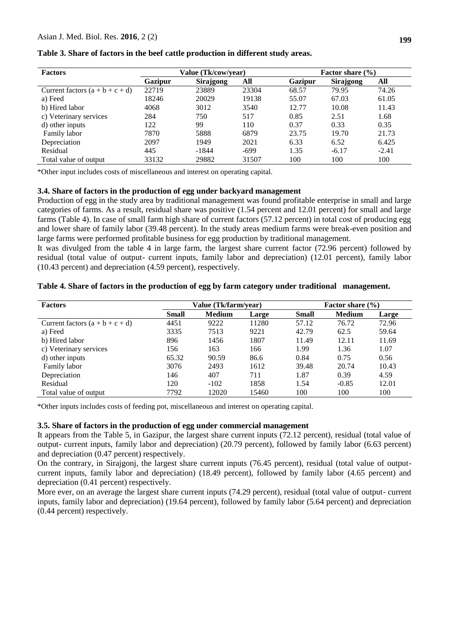| <b>Factors</b>                    | Value (Tk/cow/year) |           |        |                | Factor share $(\% )$ |         |  |  |
|-----------------------------------|---------------------|-----------|--------|----------------|----------------------|---------|--|--|
|                                   | <b>Gazipur</b>      | Sirajgong | All    | <b>Gazipur</b> | Sirajgong            | All     |  |  |
| Current factors $(a + b + c + d)$ | 22719               | 23889     | 23304  | 68.57          | 79.95                | 74.26   |  |  |
| a) Feed                           | 18246               | 20029     | 19138  | 55.07          | 67.03                | 61.05   |  |  |
| b) Hired labor                    | 4068                | 3012      | 3540   | 12.77          | 10.08                | 11.43   |  |  |
| c) Veterinary services            | 284                 | 750       | 517    | 0.85           | 2.51                 | 1.68    |  |  |
| d) other inputs                   | 122                 | 99        | 110    | 0.37           | 0.33                 | 0.35    |  |  |
| Family labor                      | 7870                | 5888      | 6879   | 23.75          | 19.70                | 21.73   |  |  |
| Depreciation                      | 2097                | 1949      | 2021   | 6.33           | 6.52                 | 6.425   |  |  |
| Residual                          | 445                 | $-1844$   | $-699$ | 1.35           | $-6.17$              | $-2.41$ |  |  |
| Total value of output             | 33132               | 29882     | 31507  | 100            | 100                  | 100     |  |  |

#### **Table 3. Share of factors in the beef cattle production in different study areas.**

\*Other input includes costs of miscellaneous and interest on operating capital.

#### **3.4. Share of factors in the production of egg under backyard management**

Production of egg in the study area by traditional management was found profitable enterprise in small and large categories of farms. As a result, residual share was positive (1.54 percent and 12.01 percent) for small and large farms (Table 4). In case of small farm high share of current factors (57.12 percent) in total cost of producing egg and lower share of family labor (39.48 percent). In the study areas medium farms were break-even position and large farms were performed profitable business for egg production by traditional management.

It was divulged from the table 4 in large farm, the largest share current factor (72.96 percent) followed by residual (total value of output- current inputs, family labor and depreciation) (12.01 percent), family labor (10.43 percent) and depreciation (4.59 percent), respectively.

### **Table 4. Share of factors in the production of egg by farm category under traditional management.**

| <b>Factors</b>                    | Value (Tk/farm/year) |               |       | Factor share $(\% )$ |               |       |
|-----------------------------------|----------------------|---------------|-------|----------------------|---------------|-------|
|                                   | <b>Small</b>         | <b>Medium</b> | Large | <b>Small</b>         | <b>Medium</b> | Large |
| Current factors $(a + b + c + d)$ | 4451                 | 9222          | 11280 | 57.12                | 76.72         | 72.96 |
| a) Feed                           | 3335                 | 7513          | 9221  | 42.79                | 62.5          | 59.64 |
| b) Hired labor                    | 896                  | 1456          | 1807  | 11.49                | 12.11         | 11.69 |
| c) Veterinary services            | 156                  | 163           | 166   | 1.99                 | 1.36          | 1.07  |
| d) other inputs                   | 65.32                | 90.59         | 86.6  | 0.84                 | 0.75          | 0.56  |
| Family labor                      | 3076                 | 2493          | 1612  | 39.48                | 20.74         | 10.43 |
| Depreciation                      | 146                  | 407           | 711   | 1.87                 | 0.39          | 4.59  |
| Residual                          | 120                  | $-102$        | 1858  | 1.54                 | $-0.85$       | 12.01 |
| Total value of output             | 7792                 | 12020         | 15460 | 100                  | 100           | 100   |

\*Other inputs includes costs of feeding pot, miscellaneous and interest on operating capital.

#### **3.5. Share of factors in the production of egg under commercial management**

It appears from the Table 5, in Gazipur, the largest share current inputs (72.12 percent), residual (total value of output- current inputs, family labor and depreciation) (20.79 percent), followed by family labor (6.63 percent) and depreciation (0.47 percent) respectively.

On the contrary, in Sirajgonj, the largest share current inputs (76.45 percent), residual (total value of outputcurrent inputs, family labor and depreciation) (18.49 percent), followed by family labor (4.65 percent) and depreciation (0.41 percent) respectively.

More ever, on an average the largest share current inputs (74.29 percent), residual (total value of output- current inputs, family labor and depreciation) (19.64 percent), followed by family labor (5.64 percent) and depreciation (0.44 percent) respectively.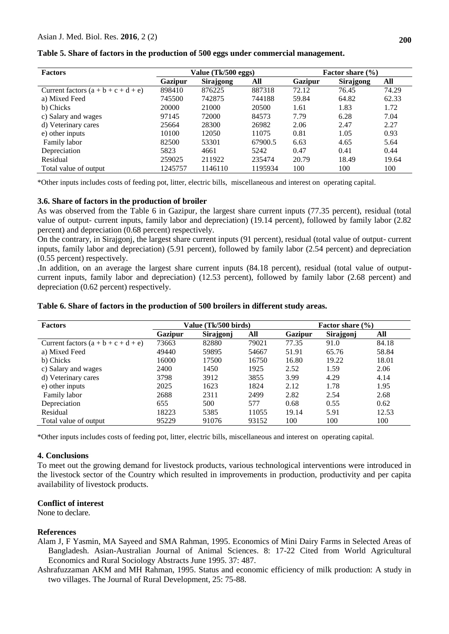# Asian J. Med. Biol. Res. **2016**, 2 (2) **200**

| <b>Factors</b>                        | Value (Tk/500 eggs) |           |         | Factor share $(\% )$ |           |       |  |
|---------------------------------------|---------------------|-----------|---------|----------------------|-----------|-------|--|
|                                       | Gazipur             | Sirajgong | All     | <b>Gazipur</b>       | Sirajgong | All   |  |
| Current factors $(a + b + c + d + e)$ | 898410              | 876225    | 887318  | 72.12                | 76.45     | 74.29 |  |
| a) Mixed Feed                         | 745500              | 742875    | 744188  | 59.84                | 64.82     | 62.33 |  |
| b) Chicks                             | 20000               | 21000     | 20500   | 1.61                 | 1.83      | 1.72  |  |
| c) Salary and wages                   | 97145               | 72000     | 84573   | 7.79                 | 6.28      | 7.04  |  |
| d) Veterinary cares                   | 25664               | 28300     | 26982   | 2.06                 | 2.47      | 2.27  |  |
| e) other inputs                       | 10100               | 12050     | 11075   | 0.81                 | 1.05      | 0.93  |  |
| Family labor                          | 82500               | 53301     | 67900.5 | 6.63                 | 4.65      | 5.64  |  |
| Depreciation                          | 5823                | 4661      | 5242    | 0.47                 | 0.41      | 0.44  |  |
| Residual                              | 259025              | 211922    | 235474  | 20.79                | 18.49     | 19.64 |  |
| Total value of output                 | 1245757             | 1146110   | 1195934 | 100                  | 100       | 100   |  |

#### **Table 5. Share of factors in the production of 500 eggs under commercial management.**

\*Other inputs includes costs of feeding pot, litter, electric bills, miscellaneous and interest on operating capital.

#### **3.6. Share of factors in the production of broiler**

As was observed from the Table 6 in Gazipur, the largest share current inputs (77.35 percent), residual (total value of output- current inputs, family labor and depreciation) (19.14 percent), followed by family labor (2.82 percent) and depreciation (0.68 percent) respectively.

On the contrary, in Sirajgonj, the largest share current inputs (91 percent), residual (total value of output- current inputs, family labor and depreciation) (5.91 percent), followed by family labor (2.54 percent) and depreciation (0.55 percent) respectively.

.In addition, on an average the largest share current inputs (84.18 percent), residual (total value of outputcurrent inputs, family labor and depreciation) (12.53 percent), followed by family labor (2.68 percent) and depreciation (0.62 percent) respectively.

#### **Table 6. Share of factors in the production of 500 broilers in different study areas.**

| <b>Factors</b>                        | Value (Tk/500 birds) |           |       | Factor share $(\% )$ |           |       |  |
|---------------------------------------|----------------------|-----------|-------|----------------------|-----------|-------|--|
|                                       | Gazipur              | Sirajgonj | All   | Gazipur              | Sirajgonj | All   |  |
| Current factors $(a + b + c + d + e)$ | 73663                | 82880     | 79021 | 77.35                | 91.0      | 84.18 |  |
| a) Mixed Feed                         | 49440                | 59895     | 54667 | 51.91                | 65.76     | 58.84 |  |
| b) Chicks                             | 16000                | 17500     | 16750 | 16.80                | 19.22     | 18.01 |  |
| c) Salary and wages                   | 2400                 | 1450      | 1925  | 2.52                 | 1.59      | 2.06  |  |
| d) Veterinary cares                   | 3798                 | 3912      | 3855  | 3.99                 | 4.29      | 4.14  |  |
| e) other inputs                       | 2025                 | 1623      | 1824  | 2.12                 | 1.78      | 1.95  |  |
| Family labor                          | 2688                 | 2311      | 2499  | 2.82                 | 2.54      | 2.68  |  |
| Depreciation                          | 655                  | 500       | 577   | 0.68                 | 0.55      | 0.62  |  |
| Residual                              | 18223                | 5385      | 11055 | 19.14                | 5.91      | 12.53 |  |
| Total value of output                 | 95229                | 91076     | 93152 | 100                  | 100       | 100   |  |

\*Other inputs includes costs of feeding pot, litter, electric bills, miscellaneous and interest on operating capital.

#### **4. Conclusions**

To meet out the growing demand for livestock products, various technological interventions were introduced in the livestock sector of the Country which resulted in improvements in production, productivity and per capita availability of livestock products.

## **Conflict of interest**

None to declare.

#### **References**

Alam J, F Yasmin, MA Sayeed and SMA Rahman, 1995. Economics of Mini Dairy Farms in Selected Areas of Bangladesh. Asian-Australian Journal of Animal Sciences. 8: 17-22 Cited from World Agricultural Economics and Rural Sociology Abstracts June 1995. 37: 487.

Ashrafuzzaman AKM and MH Rahman, 1995. Status and economic efficiency of milk production: A study in two villages. The Journal of Rural Development, 25: 75-88.